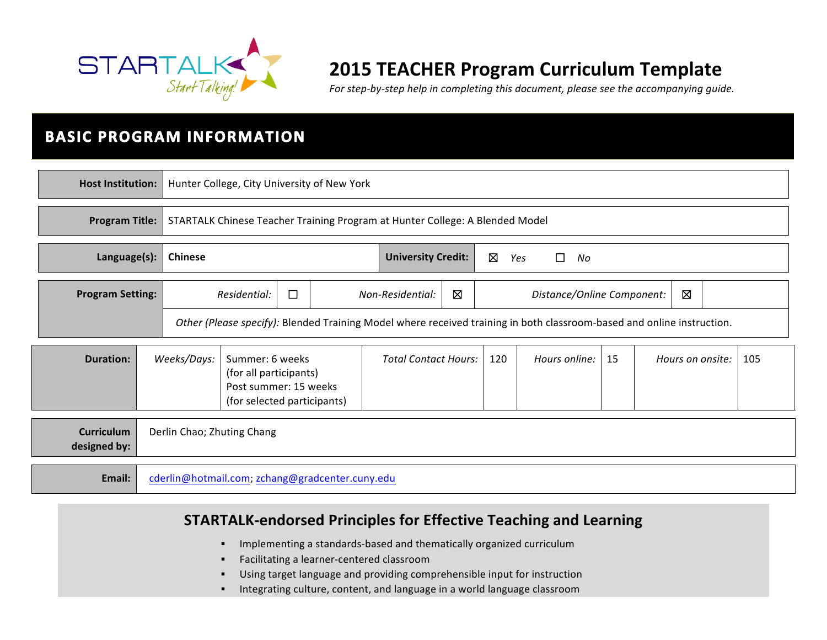

# **2015 TEACHER Program Curriculum Template**

For step-by-step help in completing this document, please see the accompanying guide.

# **BASIC PROGRAM INFORMATION**

| <b>Host Institution:</b>          |                        |                                                                                                                        | Hunter College, City University of New York                                  |                                                   |                                           |     |  |               |    |  |  |                  |     |
|-----------------------------------|------------------------|------------------------------------------------------------------------------------------------------------------------|------------------------------------------------------------------------------|---------------------------------------------------|-------------------------------------------|-----|--|---------------|----|--|--|------------------|-----|
| <b>Program Title:</b>             |                        |                                                                                                                        | STARTALK Chinese Teacher Training Program at Hunter College: A Blended Model |                                                   |                                           |     |  |               |    |  |  |                  |     |
| Language(s):<br><b>Chinese</b>    |                        |                                                                                                                        |                                                                              | ⊠<br><b>University Credit:</b><br>Yes<br>No<br>ΙI |                                           |     |  |               |    |  |  |                  |     |
| <b>Program Setting:</b>           | $\Box$<br>Residential: |                                                                                                                        | Non-Residential:                                                             | 図                                                 | $\boxtimes$<br>Distance/Online Component: |     |  |               |    |  |  |                  |     |
|                                   |                        | Other (Please specify): Blended Training Model where received training in both classroom-based and online instruction. |                                                                              |                                                   |                                           |     |  |               |    |  |  |                  |     |
| <b>Duration:</b>                  |                        | Weeks/Days:<br>Summer: 6 weeks<br>(for all participants)<br>Post summer: 15 weeks<br>(for selected participants)       |                                                                              | <b>Total Contact Hours:</b>                       |                                           | 120 |  | Hours online: | 15 |  |  | Hours on onsite: | 105 |
| <b>Curriculum</b><br>designed by: |                        | Derlin Chao; Zhuting Chang                                                                                             |                                                                              |                                                   |                                           |     |  |               |    |  |  |                  |     |
| Email:                            |                        | cderlin@hotmail.com; zchang@gradcenter.cuny.edu                                                                        |                                                                              |                                                   |                                           |     |  |               |    |  |  |                  |     |

**STARTALK-endorsed Principles for Effective Teaching and Learning** 

- **•** Implementing a standards-based and thematically organized curriculum
- Facilitating a learner-centered classroom
- Using target language and providing comprehensible input for instruction
- **■** Integrating culture, content, and language in a world language classroom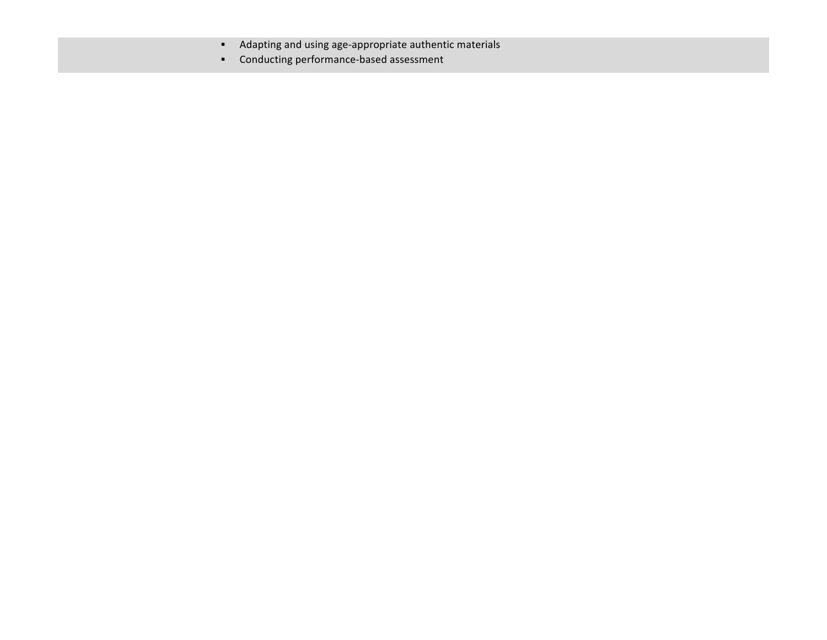- **•** Adapting and using age-appropriate authentic materials
- Conducting performance-based assessment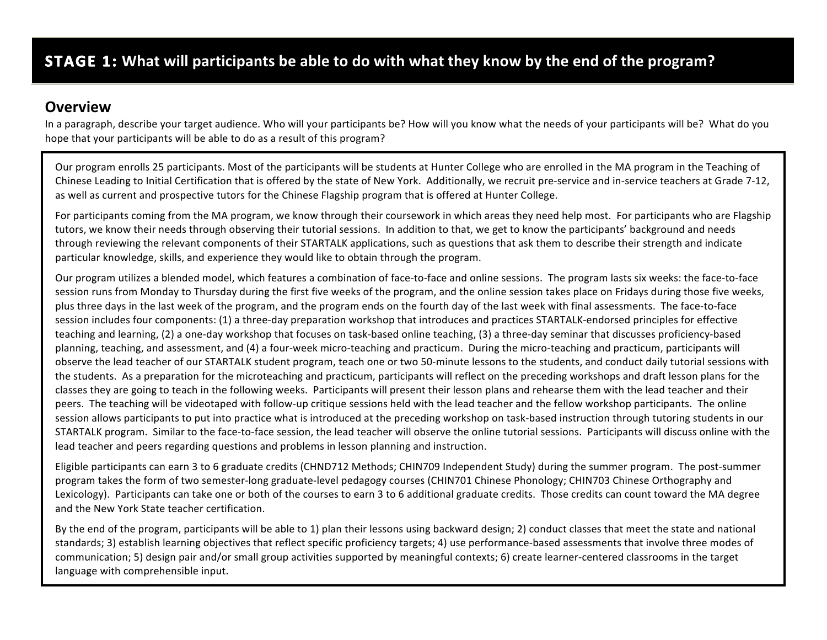### **Overview**

In a paragraph, describe your target audience. Who will your participants be? How will you know what the needs of your participants will be? What do you hope that your participants will be able to do as a result of this program?

Our program enrolls 25 participants. Most of the participants will be students at Hunter College who are enrolled in the MA program in the Teaching of Chinese Leading to Initial Certification that is offered by the state of New York. Additionally, we recruit pre-service and in-service teachers at Grade 7-12, as well as current and prospective tutors for the Chinese Flagship program that is offered at Hunter College.

For participants coming from the MA program, we know through their coursework in which areas they need help most. For participants who are Flagship tutors, we know their needs through observing their tutorial sessions. In addition to that, we get to know the participants' background and needs through reviewing the relevant components of their STARTALK applications, such as questions that ask them to describe their strength and indicate particular knowledge, skills, and experience they would like to obtain through the program.

Our program utilizes a blended model, which features a combination of face-to-face and online sessions. The program lasts six weeks: the face-to-face session runs from Monday to Thursday during the first five weeks of the program, and the online session takes place on Fridays during those five weeks, plus three days in the last week of the program, and the program ends on the fourth day of the last week with final assessments. The face-to-face session includes four components: (1) a three-day preparation workshop that introduces and practices STARTALK-endorsed principles for effective teaching and learning, (2) a one-day workshop that focuses on task-based online teaching, (3) a three-day seminar that discusses proficiency-based planning, teaching, and assessment, and (4) a four-week micro-teaching and practicum. During the micro-teaching and practicum, participants will observe the lead teacher of our STARTALK student program, teach one or two 50-minute lessons to the students, and conduct daily tutorial sessions with the students. As a preparation for the microteaching and practicum, participants will reflect on the preceding workshops and draft lesson plans for the classes they are going to teach in the following weeks. Participants will present their lesson plans and rehearse them with the lead teacher and their peers. The teaching will be videotaped with follow-up critique sessions held with the lead teacher and the fellow workshop participants. The online session allows participants to put into practice what is introduced at the preceding workshop on task-based instruction through tutoring students in our STARTALK program. Similar to the face-to-face session, the lead teacher will observe the online tutorial sessions. Participants will discuss online with the lead teacher and peers regarding questions and problems in lesson planning and instruction.

Eligible participants can earn 3 to 6 graduate credits (CHND712 Methods; CHIN709 Independent Study) during the summer program. The post-summer program takes the form of two semester-long graduate-level pedagogy courses (CHIN701 Chinese Phonology; CHIN703 Chinese Orthography and Lexicology). Participants can take one or both of the courses to earn 3 to 6 additional graduate credits. Those credits can count toward the MA degree and the New York State teacher certification.

By the end of the program, participants will be able to 1) plan their lessons using backward design; 2) conduct classes that meet the state and national standards; 3) establish learning objectives that reflect specific proficiency targets; 4) use performance-based assessments that involve three modes of communication; 5) design pair and/or small group activities supported by meaningful contexts; 6) create learner-centered classrooms in the target language with comprehensible input.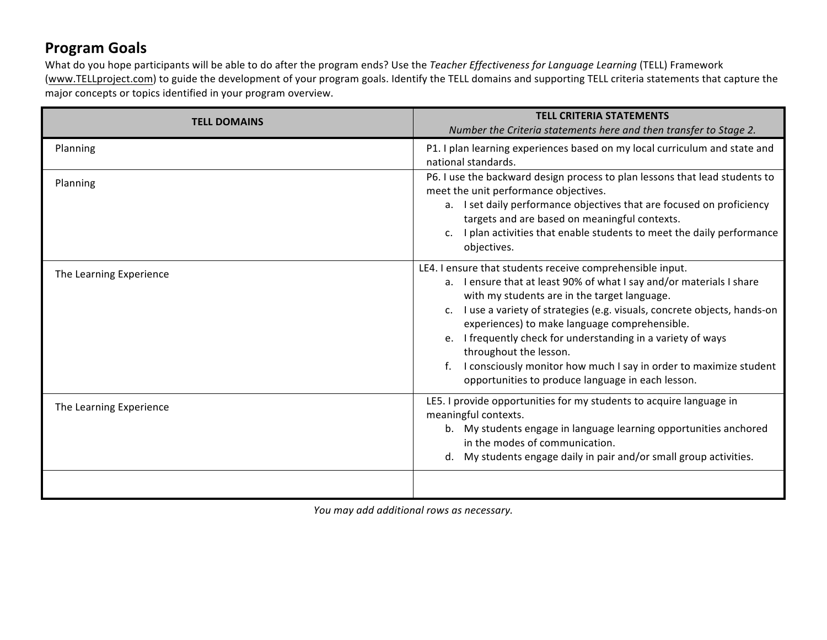## **Program Goals**

What do you hope participants will be able to do after the program ends? Use the *Teacher Effectiveness for Language Learning* (TELL) Framework (www.TELLproject.com) to guide the development of your program goals. Identify the TELL domains and supporting TELL criteria statements that capture the major concepts or topics identified in your program overview.

| <b>TELL DOMAINS</b>     | <b>TELL CRITERIA STATEMENTS</b><br>Number the Criteria statements here and then transfer to Stage 2.                                                                                                                                                                                                                                                                                                                                                                                                                                 |
|-------------------------|--------------------------------------------------------------------------------------------------------------------------------------------------------------------------------------------------------------------------------------------------------------------------------------------------------------------------------------------------------------------------------------------------------------------------------------------------------------------------------------------------------------------------------------|
| Planning                | P1. I plan learning experiences based on my local curriculum and state and<br>national standards.                                                                                                                                                                                                                                                                                                                                                                                                                                    |
| Planning                | P6. I use the backward design process to plan lessons that lead students to<br>meet the unit performance objectives.<br>a. I set daily performance objectives that are focused on proficiency<br>targets and are based on meaningful contexts.<br>I plan activities that enable students to meet the daily performance<br>objectives.                                                                                                                                                                                                |
| The Learning Experience | LE4. I ensure that students receive comprehensible input.<br>a. I ensure that at least 90% of what I say and/or materials I share<br>with my students are in the target language.<br>c. I use a variety of strategies (e.g. visuals, concrete objects, hands-on<br>experiences) to make language comprehensible.<br>e. I frequently check for understanding in a variety of ways<br>throughout the lesson.<br>I consciously monitor how much I say in order to maximize student<br>opportunities to produce language in each lesson. |
| The Learning Experience | LE5. I provide opportunities for my students to acquire language in<br>meaningful contexts.<br>b. My students engage in language learning opportunities anchored<br>in the modes of communication.<br>My students engage daily in pair and/or small group activities.                                                                                                                                                                                                                                                                |
|                         |                                                                                                                                                                                                                                                                                                                                                                                                                                                                                                                                      |

You may add additional rows as necessary.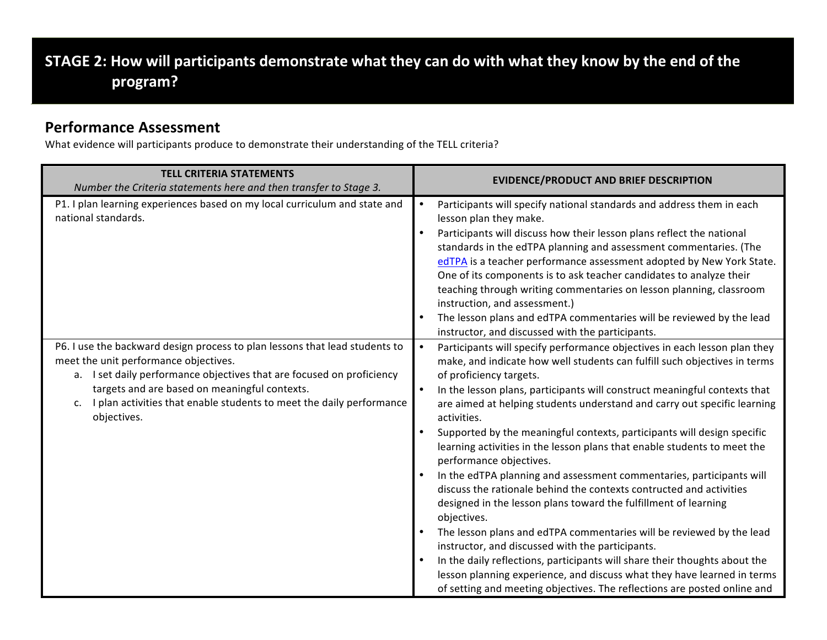# STAGE 2: How will participants demonstrate what they can do with what they know by the end of the **program?**

### **Performance Assessment**

What evidence will participants produce to demonstrate their understanding of the TELL criteria?

| <b>TELL CRITERIA STATEMENTS</b><br>Number the Criteria statements here and then transfer to Stage 3.                                                                                                                                                                                                                                        | <b>EVIDENCE/PRODUCT AND BRIEF DESCRIPTION</b>                                                                                                                                                                                                                                                                                                                                                                                                                                                                                                                                                                                                                                                                                                                                                                                                                                                                                                                                                                                                                                                                                                                           |
|---------------------------------------------------------------------------------------------------------------------------------------------------------------------------------------------------------------------------------------------------------------------------------------------------------------------------------------------|-------------------------------------------------------------------------------------------------------------------------------------------------------------------------------------------------------------------------------------------------------------------------------------------------------------------------------------------------------------------------------------------------------------------------------------------------------------------------------------------------------------------------------------------------------------------------------------------------------------------------------------------------------------------------------------------------------------------------------------------------------------------------------------------------------------------------------------------------------------------------------------------------------------------------------------------------------------------------------------------------------------------------------------------------------------------------------------------------------------------------------------------------------------------------|
| P1. I plan learning experiences based on my local curriculum and state and<br>national standards.                                                                                                                                                                                                                                           | Participants will specify national standards and address them in each<br>$\bullet$<br>lesson plan they make.<br>Participants will discuss how their lesson plans reflect the national<br>$\bullet$<br>standards in the edTPA planning and assessment commentaries. (The<br>edTPA is a teacher performance assessment adopted by New York State.<br>One of its components is to ask teacher candidates to analyze their<br>teaching through writing commentaries on lesson planning, classroom<br>instruction, and assessment.)<br>The lesson plans and edTPA commentaries will be reviewed by the lead<br>instructor, and discussed with the participants.                                                                                                                                                                                                                                                                                                                                                                                                                                                                                                              |
| P6. I use the backward design process to plan lessons that lead students to<br>meet the unit performance objectives.<br>a. I set daily performance objectives that are focused on proficiency<br>targets and are based on meaningful contexts.<br>I plan activities that enable students to meet the daily performance<br>c.<br>objectives. | Participants will specify performance objectives in each lesson plan they<br>$\bullet$<br>make, and indicate how well students can fulfill such objectives in terms<br>of proficiency targets.<br>In the lesson plans, participants will construct meaningful contexts that<br>$\bullet$<br>are aimed at helping students understand and carry out specific learning<br>activities.<br>Supported by the meaningful contexts, participants will design specific<br>learning activities in the lesson plans that enable students to meet the<br>performance objectives.<br>In the edTPA planning and assessment commentaries, participants will<br>discuss the rationale behind the contexts contructed and activities<br>designed in the lesson plans toward the fulfillment of learning<br>objectives.<br>The lesson plans and edTPA commentaries will be reviewed by the lead<br>instructor, and discussed with the participants.<br>In the daily reflections, participants will share their thoughts about the<br>lesson planning experience, and discuss what they have learned in terms<br>of setting and meeting objectives. The reflections are posted online and |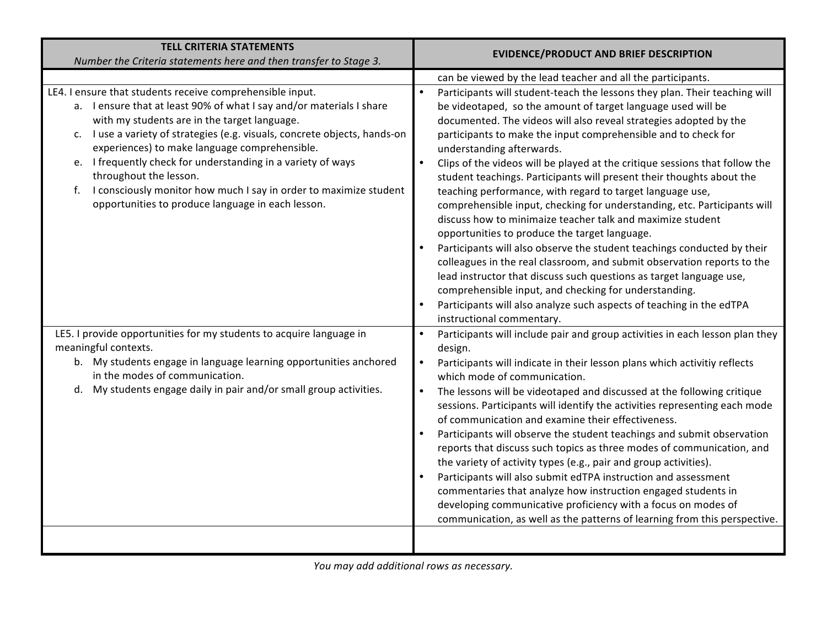| <b>TELL CRITERIA STATEMENTS</b><br>Number the Criteria statements here and then transfer to Stage 3.                                                                                                                                                                                                                                                                                                                                                                                                                                    | <b>EVIDENCE/PRODUCT AND BRIEF DESCRIPTION</b>                                                                                                                                                                                                                                                                                                                                                                                                                                                                                                                                                                                                                                                                                                                                                                                                                                                                                                                                                                                                                                                                                          |
|-----------------------------------------------------------------------------------------------------------------------------------------------------------------------------------------------------------------------------------------------------------------------------------------------------------------------------------------------------------------------------------------------------------------------------------------------------------------------------------------------------------------------------------------|----------------------------------------------------------------------------------------------------------------------------------------------------------------------------------------------------------------------------------------------------------------------------------------------------------------------------------------------------------------------------------------------------------------------------------------------------------------------------------------------------------------------------------------------------------------------------------------------------------------------------------------------------------------------------------------------------------------------------------------------------------------------------------------------------------------------------------------------------------------------------------------------------------------------------------------------------------------------------------------------------------------------------------------------------------------------------------------------------------------------------------------|
|                                                                                                                                                                                                                                                                                                                                                                                                                                                                                                                                         | can be viewed by the lead teacher and all the participants.                                                                                                                                                                                                                                                                                                                                                                                                                                                                                                                                                                                                                                                                                                                                                                                                                                                                                                                                                                                                                                                                            |
| LE4. I ensure that students receive comprehensible input.<br>a. I ensure that at least 90% of what I say and/or materials I share<br>with my students are in the target language.<br>c. I use a variety of strategies (e.g. visuals, concrete objects, hands-on<br>experiences) to make language comprehensible.<br>e. I frequently check for understanding in a variety of ways<br>throughout the lesson.<br>f. I consciously monitor how much I say in order to maximize student<br>opportunities to produce language in each lesson. | Participants will student-teach the lessons they plan. Their teaching will<br>be videotaped, so the amount of target language used will be<br>documented. The videos will also reveal strategies adopted by the<br>participants to make the input comprehensible and to check for<br>understanding afterwards.<br>$\bullet$<br>Clips of the videos will be played at the critique sessions that follow the<br>student teachings. Participants will present their thoughts about the<br>teaching performance, with regard to target language use,<br>comprehensible input, checking for understanding, etc. Participants will<br>discuss how to minimaize teacher talk and maximize student<br>opportunities to produce the target language.<br>Participants will also observe the student teachings conducted by their<br>colleagues in the real classroom, and submit observation reports to the<br>lead instructor that discuss such questions as target language use,<br>comprehensible input, and checking for understanding.<br>Participants will also analyze such aspects of teaching in the edTPA<br>instructional commentary. |
| LE5. I provide opportunities for my students to acquire language in                                                                                                                                                                                                                                                                                                                                                                                                                                                                     | Participants will include pair and group activities in each lesson plan they<br>$\bullet$                                                                                                                                                                                                                                                                                                                                                                                                                                                                                                                                                                                                                                                                                                                                                                                                                                                                                                                                                                                                                                              |
| meaningful contexts.                                                                                                                                                                                                                                                                                                                                                                                                                                                                                                                    | design.                                                                                                                                                                                                                                                                                                                                                                                                                                                                                                                                                                                                                                                                                                                                                                                                                                                                                                                                                                                                                                                                                                                                |
| b. My students engage in language learning opportunities anchored<br>in the modes of communication.                                                                                                                                                                                                                                                                                                                                                                                                                                     | $\bullet$<br>Participants will indicate in their lesson plans which activitiy reflects<br>which mode of communication.                                                                                                                                                                                                                                                                                                                                                                                                                                                                                                                                                                                                                                                                                                                                                                                                                                                                                                                                                                                                                 |
| d. My students engage daily in pair and/or small group activities.                                                                                                                                                                                                                                                                                                                                                                                                                                                                      | $\bullet$<br>The lessons will be videotaped and discussed at the following critique<br>sessions. Participants will identify the activities representing each mode<br>of communication and examine their effectiveness.                                                                                                                                                                                                                                                                                                                                                                                                                                                                                                                                                                                                                                                                                                                                                                                                                                                                                                                 |
|                                                                                                                                                                                                                                                                                                                                                                                                                                                                                                                                         | Participants will observe the student teachings and submit observation<br>reports that discuss such topics as three modes of communication, and<br>the variety of activity types (e.g., pair and group activities).                                                                                                                                                                                                                                                                                                                                                                                                                                                                                                                                                                                                                                                                                                                                                                                                                                                                                                                    |
|                                                                                                                                                                                                                                                                                                                                                                                                                                                                                                                                         | Participants will also submit edTPA instruction and assessment<br>commentaries that analyze how instruction engaged students in<br>developing communicative proficiency with a focus on modes of<br>communication, as well as the patterns of learning from this perspective.                                                                                                                                                                                                                                                                                                                                                                                                                                                                                                                                                                                                                                                                                                                                                                                                                                                          |
|                                                                                                                                                                                                                                                                                                                                                                                                                                                                                                                                         |                                                                                                                                                                                                                                                                                                                                                                                                                                                                                                                                                                                                                                                                                                                                                                                                                                                                                                                                                                                                                                                                                                                                        |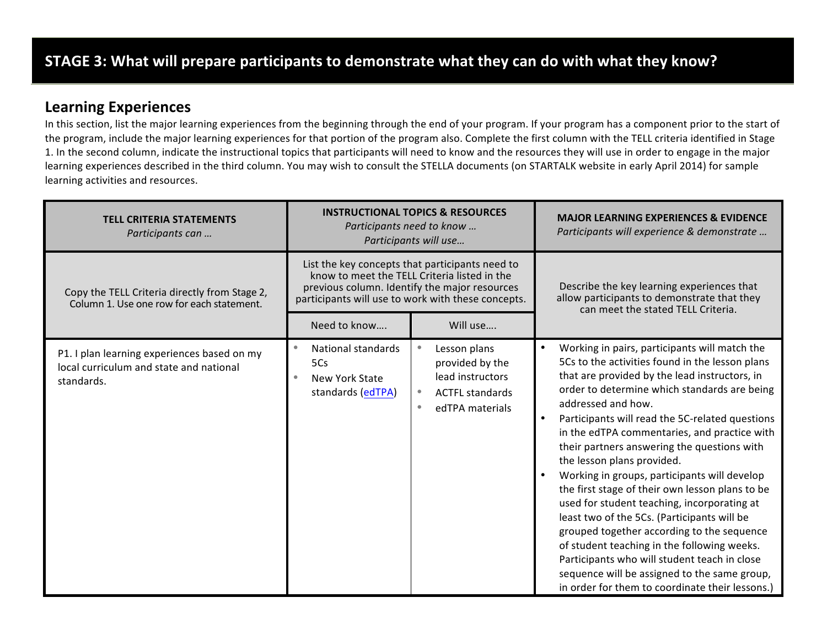### **Learning Experiences**

In this section, list the major learning experiences from the beginning through the end of your program. If your program has a component prior to the start of the program, include the major learning experiences for that portion of the program also. Complete the first column with the TELL criteria identified in Stage 1. In the second column, indicate the instructional topics that participants will need to know and the resources they will use in order to engage in the major learning experiences described in the third column. You may wish to consult the STELLA documents (on STARTALK website in early April 2014) for sample learning activities and resources.

| <b>TELL CRITERIA STATEMENTS</b><br>Participants can                                                  |                                                                  | <b>INSTRUCTIONAL TOPICS &amp; RESOURCES</b><br>Participants need to know<br>Participants will use                                                                                                      | <b>MAJOR LEARNING EXPERIENCES &amp; EVIDENCE</b><br>Participants will experience & demonstrate                                                                                                                                                                                                                                                                                                                                                                                                                                                                                                                                                                                                                                                                                                                                                                        |  |  |
|------------------------------------------------------------------------------------------------------|------------------------------------------------------------------|--------------------------------------------------------------------------------------------------------------------------------------------------------------------------------------------------------|-----------------------------------------------------------------------------------------------------------------------------------------------------------------------------------------------------------------------------------------------------------------------------------------------------------------------------------------------------------------------------------------------------------------------------------------------------------------------------------------------------------------------------------------------------------------------------------------------------------------------------------------------------------------------------------------------------------------------------------------------------------------------------------------------------------------------------------------------------------------------|--|--|
| Copy the TELL Criteria directly from Stage 2,<br>Column 1. Use one row for each statement.           |                                                                  | List the key concepts that participants need to<br>know to meet the TELL Criteria listed in the<br>previous column. Identify the major resources<br>participants will use to work with these concepts. | Describe the key learning experiences that<br>allow participants to demonstrate that they<br>can meet the stated TELL Criteria.                                                                                                                                                                                                                                                                                                                                                                                                                                                                                                                                                                                                                                                                                                                                       |  |  |
|                                                                                                      | Need to know                                                     | Will use                                                                                                                                                                                               |                                                                                                                                                                                                                                                                                                                                                                                                                                                                                                                                                                                                                                                                                                                                                                                                                                                                       |  |  |
| P1. I plan learning experiences based on my<br>local curriculum and state and national<br>standards. | National standards<br>5Cs<br>New York State<br>standards (edTPA) | Lesson plans<br>provided by the<br>lead instructors<br><b>ACTFL standards</b><br>$\bullet$<br>edTPA materials<br>$\bullet$                                                                             | Working in pairs, participants will match the<br>5Cs to the activities found in the lesson plans<br>that are provided by the lead instructors, in<br>order to determine which standards are being<br>addressed and how.<br>Participants will read the 5C-related questions<br>in the edTPA commentaries, and practice with<br>their partners answering the questions with<br>the lesson plans provided.<br>Working in groups, participants will develop<br>$\bullet$<br>the first stage of their own lesson plans to be<br>used for student teaching, incorporating at<br>least two of the 5Cs. (Participants will be<br>grouped together according to the sequence<br>of student teaching in the following weeks.<br>Participants who will student teach in close<br>sequence will be assigned to the same group,<br>in order for them to coordinate their lessons.) |  |  |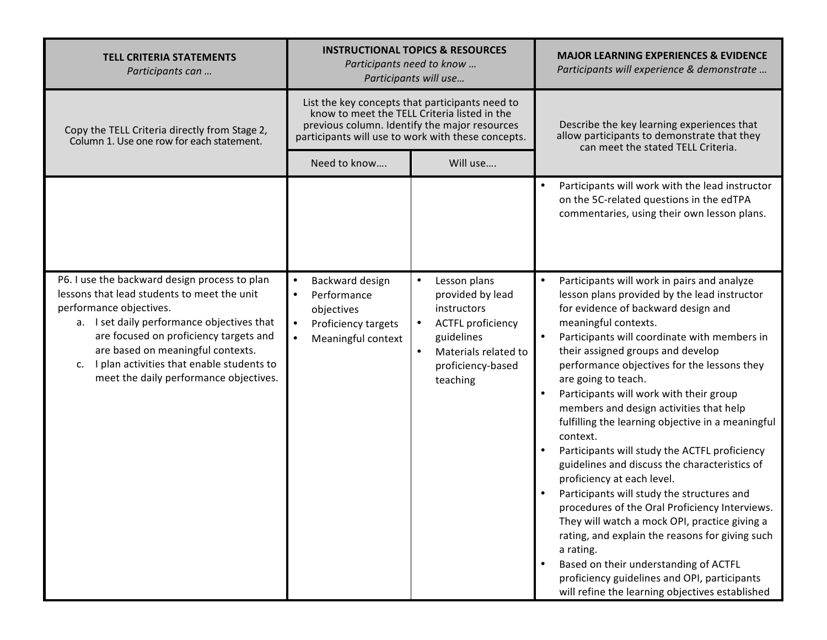| <b>TELL CRITERIA STATEMENTS</b><br>Participants can                                                                                                                                                                                                                                                                                               | <b>INSTRUCTIONAL TOPICS &amp; RESOURCES</b><br>Participants need to know<br>Participants will use                                |                                                                                                                                                                                                        | <b>MAJOR LEARNING EXPERIENCES &amp; EVIDENCE</b><br>Participants will experience & demonstrate                                                                                                                                                                                                                                                                                                                                                                                                                                                                                                                                                                                                                                                                                                                                                                                                                                                                                         |  |
|---------------------------------------------------------------------------------------------------------------------------------------------------------------------------------------------------------------------------------------------------------------------------------------------------------------------------------------------------|----------------------------------------------------------------------------------------------------------------------------------|--------------------------------------------------------------------------------------------------------------------------------------------------------------------------------------------------------|----------------------------------------------------------------------------------------------------------------------------------------------------------------------------------------------------------------------------------------------------------------------------------------------------------------------------------------------------------------------------------------------------------------------------------------------------------------------------------------------------------------------------------------------------------------------------------------------------------------------------------------------------------------------------------------------------------------------------------------------------------------------------------------------------------------------------------------------------------------------------------------------------------------------------------------------------------------------------------------|--|
| Copy the TELL Criteria directly from Stage 2,<br>Column 1. Use one row for each statement.                                                                                                                                                                                                                                                        |                                                                                                                                  | List the key concepts that participants need to<br>know to meet the TELL Criteria listed in the<br>previous column. Identify the major resources<br>participants will use to work with these concepts. | Describe the key learning experiences that<br>allow participants to demonstrate that they<br>can meet the stated TELL Criteria.                                                                                                                                                                                                                                                                                                                                                                                                                                                                                                                                                                                                                                                                                                                                                                                                                                                        |  |
|                                                                                                                                                                                                                                                                                                                                                   | Need to know                                                                                                                     | Will use                                                                                                                                                                                               |                                                                                                                                                                                                                                                                                                                                                                                                                                                                                                                                                                                                                                                                                                                                                                                                                                                                                                                                                                                        |  |
|                                                                                                                                                                                                                                                                                                                                                   |                                                                                                                                  |                                                                                                                                                                                                        | Participants will work with the lead instructor<br>on the 5C-related questions in the edTPA<br>commentaries, using their own lesson plans.                                                                                                                                                                                                                                                                                                                                                                                                                                                                                                                                                                                                                                                                                                                                                                                                                                             |  |
| P6. I use the backward design process to plan<br>lessons that lead students to meet the unit<br>performance objectives.<br>a. I set daily performance objectives that<br>are focused on proficiency targets and<br>are based on meaningful contexts.<br>I plan activities that enable students to<br>c.<br>meet the daily performance objectives. | Backward design<br>$\bullet$<br>Performance<br>$\bullet$<br>objectives<br>Proficiency targets<br>$\bullet$<br>Meaningful context | Lesson plans<br>$\bullet$<br>provided by lead<br>instructors<br><b>ACTFL proficiency</b><br>$\bullet$<br>guidelines<br>Materials related to<br>$\bullet$<br>proficiency-based<br>teaching              | Participants will work in pairs and analyze<br>lesson plans provided by the lead instructor<br>for evidence of backward design and<br>meaningful contexts.<br>$\bullet$<br>Participants will coordinate with members in<br>their assigned groups and develop<br>performance objectives for the lessons they<br>are going to teach.<br>Participants will work with their group<br>members and design activities that help<br>fulfilling the learning objective in a meaningful<br>context.<br>Participants will study the ACTFL proficiency<br>guidelines and discuss the characteristics of<br>proficiency at each level.<br>Participants will study the structures and<br>procedures of the Oral Proficiency Interviews.<br>They will watch a mock OPI, practice giving a<br>rating, and explain the reasons for giving such<br>a rating.<br>Based on their understanding of ACTFL<br>proficiency guidelines and OPI, participants<br>will refine the learning objectives established |  |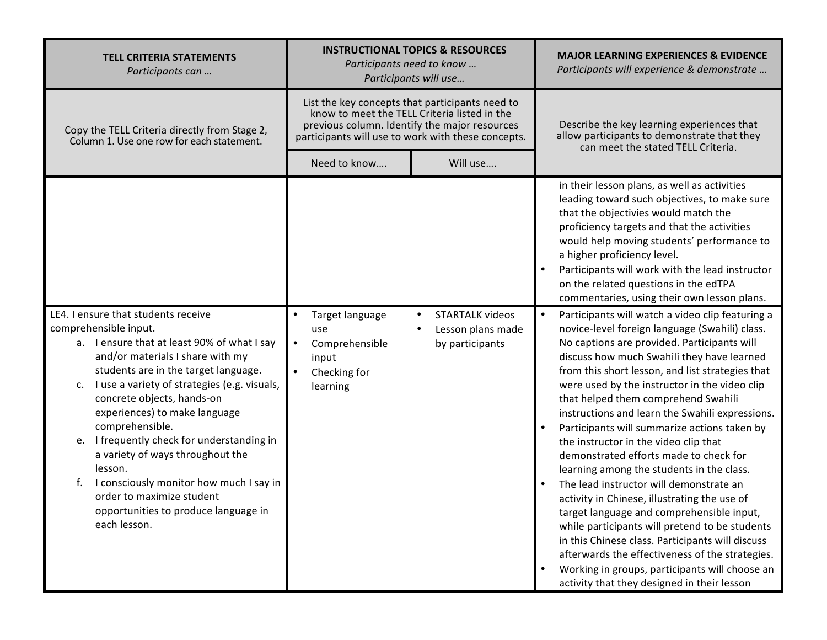| <b>TELL CRITERIA STATEMENTS</b><br>Participants can                                                                                                                                                                                                                                                                                                                                                                                                                                                                                                                |                                                                                            | <b>INSTRUCTIONAL TOPICS &amp; RESOURCES</b><br>Participants need to know<br>Participants will use                                                                                                      | <b>MAJOR LEARNING EXPERIENCES &amp; EVIDENCE</b><br>Participants will experience & demonstrate                                                                                                                                                                                                                                                                                                                                                                                                                                                                                                                                                                                                                                                                                                                                                                                                                                                                                                             |  |
|--------------------------------------------------------------------------------------------------------------------------------------------------------------------------------------------------------------------------------------------------------------------------------------------------------------------------------------------------------------------------------------------------------------------------------------------------------------------------------------------------------------------------------------------------------------------|--------------------------------------------------------------------------------------------|--------------------------------------------------------------------------------------------------------------------------------------------------------------------------------------------------------|------------------------------------------------------------------------------------------------------------------------------------------------------------------------------------------------------------------------------------------------------------------------------------------------------------------------------------------------------------------------------------------------------------------------------------------------------------------------------------------------------------------------------------------------------------------------------------------------------------------------------------------------------------------------------------------------------------------------------------------------------------------------------------------------------------------------------------------------------------------------------------------------------------------------------------------------------------------------------------------------------------|--|
| Copy the TELL Criteria directly from Stage 2,<br>Column 1. Use one row for each statement.                                                                                                                                                                                                                                                                                                                                                                                                                                                                         |                                                                                            | List the key concepts that participants need to<br>know to meet the TELL Criteria listed in the<br>previous column. Identify the major resources<br>participants will use to work with these concepts. | Describe the key learning experiences that<br>allow participants to demonstrate that they<br>can meet the stated TELL Criteria.                                                                                                                                                                                                                                                                                                                                                                                                                                                                                                                                                                                                                                                                                                                                                                                                                                                                            |  |
|                                                                                                                                                                                                                                                                                                                                                                                                                                                                                                                                                                    | Need to know                                                                               | Will use                                                                                                                                                                                               |                                                                                                                                                                                                                                                                                                                                                                                                                                                                                                                                                                                                                                                                                                                                                                                                                                                                                                                                                                                                            |  |
|                                                                                                                                                                                                                                                                                                                                                                                                                                                                                                                                                                    |                                                                                            |                                                                                                                                                                                                        | in their lesson plans, as well as activities<br>leading toward such objectives, to make sure<br>that the objectivies would match the<br>proficiency targets and that the activities<br>would help moving students' performance to<br>a higher proficiency level.<br>Participants will work with the lead instructor<br>$\bullet$<br>on the related questions in the edTPA<br>commentaries, using their own lesson plans.                                                                                                                                                                                                                                                                                                                                                                                                                                                                                                                                                                                   |  |
| LE4. I ensure that students receive<br>comprehensible input.<br>a. I ensure that at least 90% of what I say<br>and/or materials I share with my<br>students are in the target language.<br>I use a variety of strategies (e.g. visuals,<br>c.<br>concrete objects, hands-on<br>experiences) to make language<br>comprehensible.<br>e. I frequently check for understanding in<br>a variety of ways throughout the<br>lesson.<br>I consciously monitor how much I say in<br>f.<br>order to maximize student<br>opportunities to produce language in<br>each lesson. | Target language<br>use<br>Comprehensible<br>$\bullet$<br>input<br>Checking for<br>learning | <b>STARTALK videos</b><br>$\bullet$<br>Lesson plans made<br>$\bullet$<br>by participants                                                                                                               | Participants will watch a video clip featuring a<br>$\bullet$<br>novice-level foreign language (Swahili) class.<br>No captions are provided. Participants will<br>discuss how much Swahili they have learned<br>from this short lesson, and list strategies that<br>were used by the instructor in the video clip<br>that helped them comprehend Swahili<br>instructions and learn the Swahili expressions.<br>Participants will summarize actions taken by<br>the instructor in the video clip that<br>demonstrated efforts made to check for<br>learning among the students in the class.<br>The lead instructor will demonstrate an<br>activity in Chinese, illustrating the use of<br>target language and comprehensible input,<br>while participants will pretend to be students<br>in this Chinese class. Participants will discuss<br>afterwards the effectiveness of the strategies.<br>Working in groups, participants will choose an<br>$\bullet$<br>activity that they designed in their lesson |  |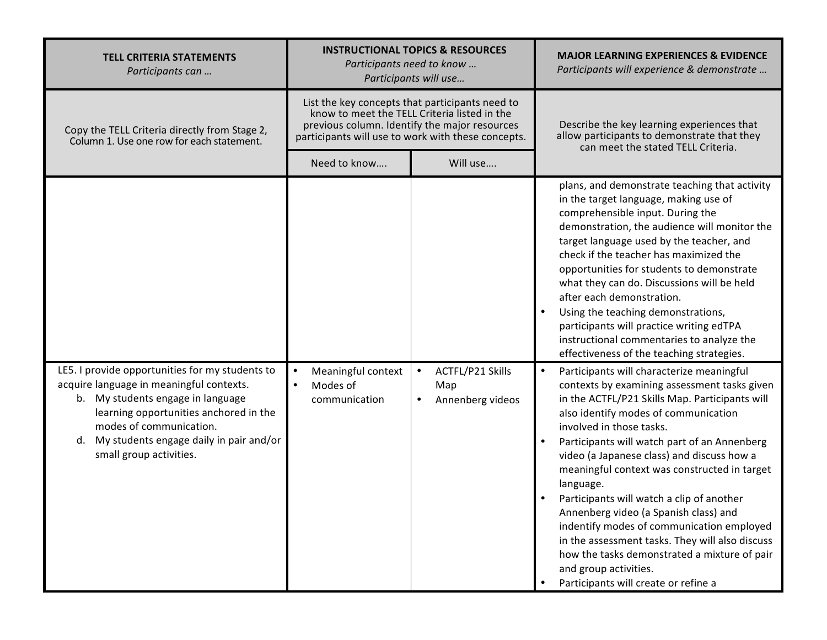| <b>TELL CRITERIA STATEMENTS</b><br>Participants can                                                                                                                                                                                                                            |                                                              | <b>INSTRUCTIONAL TOPICS &amp; RESOURCES</b><br>Participants need to know<br>Participants will use                                                                                                      | <b>MAJOR LEARNING EXPERIENCES &amp; EVIDENCE</b><br>Participants will experience & demonstrate                                                                                                                                                                                                                                                                                                                                                                                                                                                                                                                                                                                                 |  |  |
|--------------------------------------------------------------------------------------------------------------------------------------------------------------------------------------------------------------------------------------------------------------------------------|--------------------------------------------------------------|--------------------------------------------------------------------------------------------------------------------------------------------------------------------------------------------------------|------------------------------------------------------------------------------------------------------------------------------------------------------------------------------------------------------------------------------------------------------------------------------------------------------------------------------------------------------------------------------------------------------------------------------------------------------------------------------------------------------------------------------------------------------------------------------------------------------------------------------------------------------------------------------------------------|--|--|
| Copy the TELL Criteria directly from Stage 2,<br>Column 1. Use one row for each statement.                                                                                                                                                                                     |                                                              | List the key concepts that participants need to<br>know to meet the TELL Criteria listed in the<br>previous column. Identify the major resources<br>participants will use to work with these concepts. | Describe the key learning experiences that<br>allow participants to demonstrate that they<br>can meet the stated TELL Criteria.                                                                                                                                                                                                                                                                                                                                                                                                                                                                                                                                                                |  |  |
|                                                                                                                                                                                                                                                                                | Need to know                                                 | Will use                                                                                                                                                                                               |                                                                                                                                                                                                                                                                                                                                                                                                                                                                                                                                                                                                                                                                                                |  |  |
|                                                                                                                                                                                                                                                                                |                                                              |                                                                                                                                                                                                        | plans, and demonstrate teaching that activity<br>in the target language, making use of<br>comprehensible input. During the<br>demonstration, the audience will monitor the<br>target language used by the teacher, and<br>check if the teacher has maximized the<br>opportunities for students to demonstrate<br>what they can do. Discussions will be held<br>after each demonstration.<br>Using the teaching demonstrations,<br>$\bullet$<br>participants will practice writing edTPA<br>instructional commentaries to analyze the<br>effectiveness of the teaching strategies.                                                                                                              |  |  |
| LE5. I provide opportunities for my students to<br>acquire language in meaningful contexts.<br>b. My students engage in language<br>learning opportunities anchored in the<br>modes of communication.<br>d. My students engage daily in pair and/or<br>small group activities. | Meaningful context<br>$\bullet$<br>Modes of<br>communication | ACTFL/P21 Skills<br>$\bullet$<br>Map<br>Annenberg videos<br>$\bullet$                                                                                                                                  | Participants will characterize meaningful<br>$\bullet$<br>contexts by examining assessment tasks given<br>in the ACTFL/P21 Skills Map. Participants will<br>also identify modes of communication<br>involved in those tasks.<br>Participants will watch part of an Annenberg<br>video (a Japanese class) and discuss how a<br>meaningful context was constructed in target<br>language.<br>Participants will watch a clip of another<br>Annenberg video (a Spanish class) and<br>indentify modes of communication employed<br>in the assessment tasks. They will also discuss<br>how the tasks demonstrated a mixture of pair<br>and group activities.<br>Participants will create or refine a |  |  |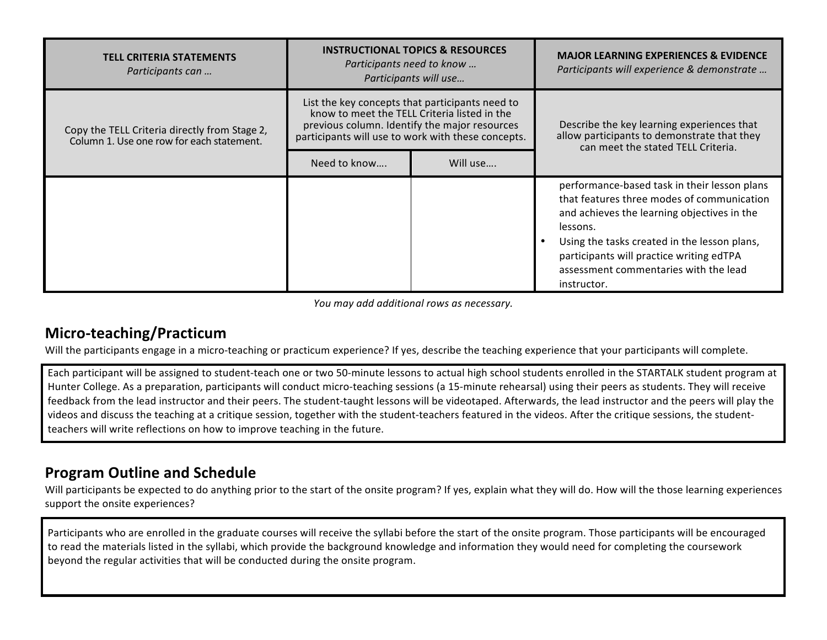| <b>TELL CRITERIA STATEMENTS</b><br>Participants can                                        |                                                    | <b>INSTRUCTIONAL TOPICS &amp; RESOURCES</b><br>Participants need to know<br>Participants will use                                                | <b>MAJOR LEARNING EXPERIENCES &amp; EVIDENCE</b><br>Participants will experience & demonstrate                                                                                                                                                                                                            |  |
|--------------------------------------------------------------------------------------------|----------------------------------------------------|--------------------------------------------------------------------------------------------------------------------------------------------------|-----------------------------------------------------------------------------------------------------------------------------------------------------------------------------------------------------------------------------------------------------------------------------------------------------------|--|
| Copy the TELL Criteria directly from Stage 2,<br>Column 1. Use one row for each statement. | participants will use to work with these concepts. | List the key concepts that participants need to<br>know to meet the TELL Criteria listed in the<br>previous column. Identify the major resources | Describe the key learning experiences that<br>allow participants to demonstrate that they<br>can meet the stated TELL Criteria.                                                                                                                                                                           |  |
|                                                                                            | Need to know                                       | Will use                                                                                                                                         |                                                                                                                                                                                                                                                                                                           |  |
|                                                                                            |                                                    |                                                                                                                                                  | performance-based task in their lesson plans<br>that features three modes of communication<br>and achieves the learning objectives in the<br>lessons.<br>Using the tasks created in the lesson plans,<br>participants will practice writing edTPA<br>assessment commentaries with the lead<br>instructor. |  |

*You may add additional rows as necessary.* 

### **Micro-teaching/Practicum**

Will the participants engage in a micro-teaching or practicum experience? If yes, describe the teaching experience that your participants will complete.

Each participant will be assigned to student-teach one or two 50-minute lessons to actual high school students enrolled in the STARTALK student program at Hunter College. As a preparation, participants will conduct micro-teaching sessions (a 15-minute rehearsal) using their peers as students. They will receive feedback from the lead instructor and their peers. The student-taught lessons will be videotaped. Afterwards, the lead instructor and the peers will play the videos and discuss the teaching at a critique session, together with the student-teachers featured in the videos. After the critique sessions, the studentteachers will write reflections on how to improve teaching in the future.

### **Program Outline and Schedule**

Will participants be expected to do anything prior to the start of the onsite program? If yes, explain what they will do. How will the those learning experiences support the onsite experiences?

Participants who are enrolled in the graduate courses will receive the syllabi before the start of the onsite program. Those participants will be encouraged to read the materials listed in the syllabi, which provide the background knowledge and information they would need for completing the coursework beyond the regular activities that will be conducted during the onsite program.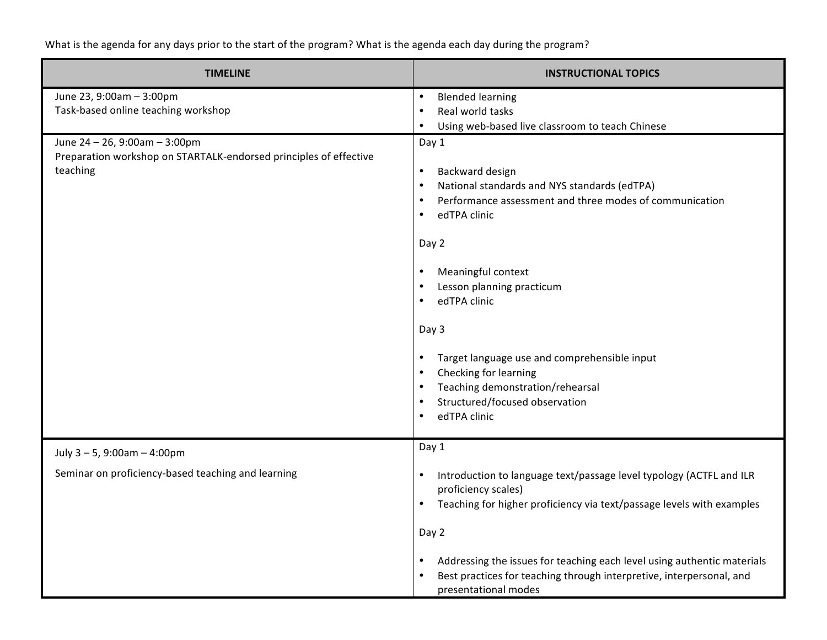What is the agenda for any days prior to the start of the program? What is the agenda each day during the program?

| <b>TIMELINE</b>                                                                                                | <b>INSTRUCTIONAL TOPICS</b>                                                                                                                                                                                                                                                                                                                                                                                                                                                                                                                                         |
|----------------------------------------------------------------------------------------------------------------|---------------------------------------------------------------------------------------------------------------------------------------------------------------------------------------------------------------------------------------------------------------------------------------------------------------------------------------------------------------------------------------------------------------------------------------------------------------------------------------------------------------------------------------------------------------------|
| June 23, 9:00am - 3:00pm<br>Task-based online teaching workshop                                                | <b>Blended learning</b><br>$\bullet$<br>Real world tasks<br>$\bullet$<br>Using web-based live classroom to teach Chinese<br>$\bullet$                                                                                                                                                                                                                                                                                                                                                                                                                               |
| June 24 - 26, 9:00am - 3:00pm<br>Preparation workshop on STARTALK-endorsed principles of effective<br>teaching | Day 1<br>Backward design<br>$\bullet$<br>National standards and NYS standards (edTPA)<br>$\bullet$<br>Performance assessment and three modes of communication<br>$\bullet$<br>edTPA clinic<br>$\bullet$<br>Day 2<br>Meaningful context<br>$\bullet$<br>Lesson planning practicum<br>$\bullet$<br>edTPA clinic<br>$\bullet$<br>Day 3<br>Target language use and comprehensible input<br>$\bullet$<br>Checking for learning<br>$\bullet$<br>Teaching demonstration/rehearsal<br>$\bullet$<br>Structured/focused observation<br>$\bullet$<br>edTPA clinic<br>$\bullet$ |
| July $3 - 5$ , 9:00am $- 4:00$ pm<br>Seminar on proficiency-based teaching and learning                        | Day 1<br>Introduction to language text/passage level typology (ACTFL and ILR<br>proficiency scales)<br>Teaching for higher proficiency via text/passage levels with examples<br>$\bullet$<br>Day 2<br>Addressing the issues for teaching each level using authentic materials<br>$\bullet$<br>Best practices for teaching through interpretive, interpersonal, and<br>$\bullet$<br>presentational modes                                                                                                                                                             |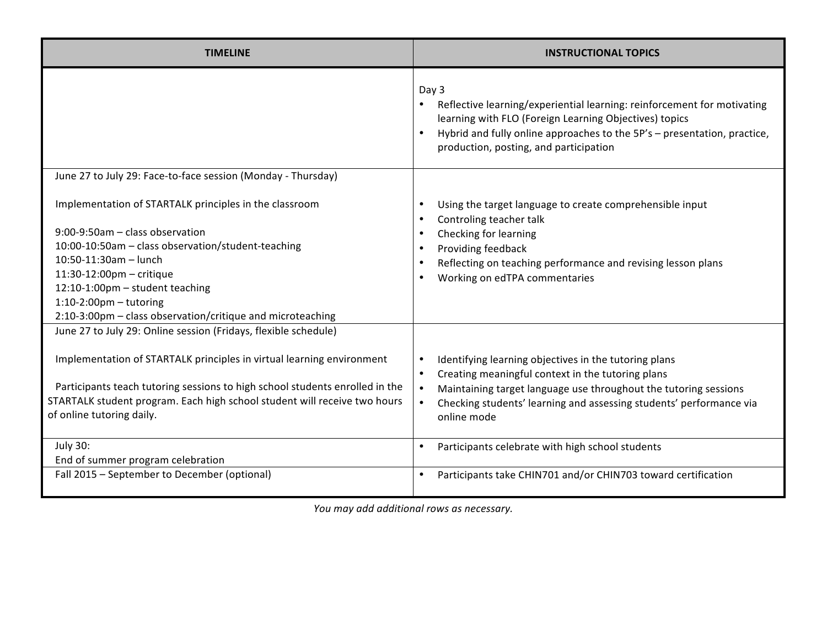| <b>TIMELINE</b>                                                                                                                                                                                                                                                                                                                                                                                          | <b>INSTRUCTIONAL TOPICS</b>                                                                                                                                                                                                                                                                    |
|----------------------------------------------------------------------------------------------------------------------------------------------------------------------------------------------------------------------------------------------------------------------------------------------------------------------------------------------------------------------------------------------------------|------------------------------------------------------------------------------------------------------------------------------------------------------------------------------------------------------------------------------------------------------------------------------------------------|
|                                                                                                                                                                                                                                                                                                                                                                                                          | Day 3<br>Reflective learning/experiential learning: reinforcement for motivating<br>learning with FLO (Foreign Learning Objectives) topics<br>Hybrid and fully online approaches to the 5P's - presentation, practice,<br>$\bullet$<br>production, posting, and participation                  |
| June 27 to July 29: Face-to-face session (Monday - Thursday)                                                                                                                                                                                                                                                                                                                                             |                                                                                                                                                                                                                                                                                                |
| Implementation of STARTALK principles in the classroom<br>9:00-9:50am - class observation<br>10:00-10:50am - class observation/student-teaching<br>$10:50-11:30$ am - lunch<br>11:30-12:00pm - critique<br>12:10-1:00pm - student teaching<br>$1:10-2:00$ pm - tutoring<br>2:10-3:00pm - class observation/critique and microteaching<br>June 27 to July 29: Online session (Fridays, flexible schedule) | Using the target language to create comprehensible input<br>Controling teacher talk<br>Checking for learning<br>Providing feedback<br>Reflecting on teaching performance and revising lesson plans<br>Working on edTPA commentaries                                                            |
| Implementation of STARTALK principles in virtual learning environment<br>Participants teach tutoring sessions to high school students enrolled in the<br>STARTALK student program. Each high school student will receive two hours<br>of online tutoring daily.                                                                                                                                          | Identifying learning objectives in the tutoring plans<br>Creating meaningful context in the tutoring plans<br>Maintaining target language use throughout the tutoring sessions<br>$\bullet$<br>Checking students' learning and assessing students' performance via<br>$\bullet$<br>online mode |
| <b>July 30:</b><br>End of summer program celebration                                                                                                                                                                                                                                                                                                                                                     | Participants celebrate with high school students<br>$\bullet$                                                                                                                                                                                                                                  |
| Fall 2015 - September to December (optional)                                                                                                                                                                                                                                                                                                                                                             | Participants take CHIN701 and/or CHIN703 toward certification                                                                                                                                                                                                                                  |

You may add additional rows as necessary.